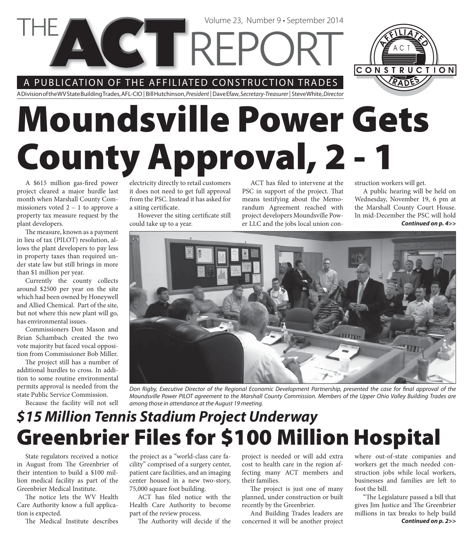A PUBLICATION OF THE AFFILIATED CONSTRUCTION TRADES

**CETREPC** 

A Division of the WV State Building Trades, AFL-CIO | Bill Hutchinson, President | Dave Efaw, Secretary-Treasurer | Steve White, Director

# **Moundsville Power Gets County Approval, 2 - 1**

A \$615 million gas-fired power project cleared a major hurdle last month when Marshall County Commissioners voted 2 – 1 to approve a property tax measure request by the plant developers.

The measure, known as a payment in lieu of tax (PILOT) resolution, allows the plant developers to pay less in property taxes than required under state law but still brings in more than \$1 million per year.

Currently the county collects around \$2500 per year on the site which had been owned by Honeywell and Allied Chemical. Part of the site, but not where this new plant will go, has environmental issues.

Commissioners Don Mason and Brian Schambach created the two vote majority but faced vocal opposition from Commissioner Bob Miller.

The project still has a number of additional hurdles to cross. In addition to some routine environmental permits approval is needed from the state Public Service Commission.

Because the facility will not sell

electricity directly to retail customers it does not need to get full approval from the PSC. Instead it has asked for a siting certificate.

However the siting certificate still could take up to a year.

ACT has filed to intervene at the PSC in support of the project. That means testifying about the Memorandum Agreement reached with project developers Moundsville Power LLC and the jobs local union con-

Volume 23, Number 9 • September 2014

struction workers will get.

*Continued on p. 4>>* A public hearing will be held on Wednesday, November 19, 6 pm at the Marshall County Court House. In mid-December the PSC will hold



Don Rigby, Executive Director of the Regional Economic Development Partnership, presented the case for final approval of the Moundsville Power PILOT agreement to the Marshall County Commission. Members of the Upper Ohio Valley Building Trades are among those in attendance at the August 19 meeting.

### **Greenbrier Files for \$100 Million Hospital** *\$15 Million Tennis Stadium Project Underway*

State regulators received a notice in August from The Greenbrier of their intention to build a \$100 million medical facility as part of the Greenbrier Medical Institute.

The notice lets the WV Health Care Authority know a full application is expected.

The Medical Institute describes

the project as a "world-class care facility" comprised of a surgery center, patient care facilities, and an imaging center housed in a new two-story, 75,000 square foot building.

ACT has filed notice with the Health Care Authority to become part of the review process.

The Authority will decide if the

project is needed or will add extra cost to health care in the region affecting many ACT members and their families.

The project is just one of many planned, under construction or built recently by the Greenbrier.

And Building Trades leaders are concerned it will be another project where out-of-state companies and workers get the much needed construction jobs while local workers, businesses and families are left to foot the bill.

*Continued on p. 2>>* "The Legislature passed a bill that gives Jim Justice and The Greenbrier millions in tax breaks to help build

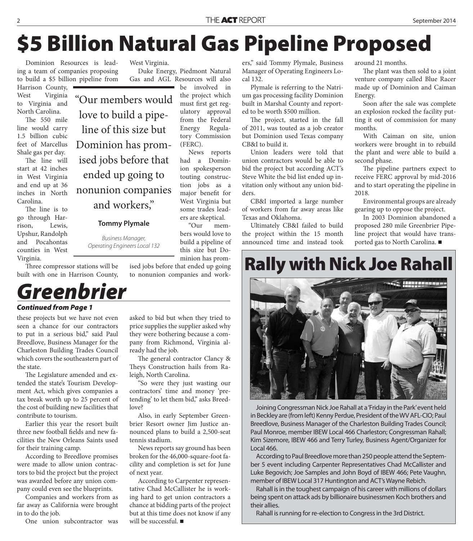# **\$5 Billion Natural Gas Pipeline Proposed**

Dominion Resources is leading a team of companies proposing to build a \$5 billion pipeline from

Harrison County, West Virginia to Virginia and North Carolina.

The 550 mile line would carry 1.5 billion cubic feet of Marcellus Shale gas per day.

The line will start at 42 inches in West Virginia and end up at 36 inches in North Carolina.

The line is to go through Harrison, Lewis, Upshur, Randolph and Pocahontas counties in West Virginia.

"Our members would love to build a pipeline of this size but Dominion has promised jobs before that ended up going to nonunion companies and workers,"

#### **Tommy Plymale**

Business Manager, Operating Engineers Local 132

Three compressor stations will be built with one in Harrison County,

### *Greenbrier*

*Continued from Page 1*

these projects but we have not even seen a chance for our contractors to put in a serious bid," said Paul Breedlove, Business Manager for the Charleston Building Trades Council which covers the southeastern part of the state.

The Legislature amended and extended the state's Tourism Development Act, which gives companies a tax break worth up to 25 percent of the cost of building new facilities that contribute to tourism.

Earlier this year the resort built three new football fields and new facilities the New Orleans Saints used for their training camp.

According to Breedlove promises were made to allow union contractors to bid the project but the project was awarded before any union company could even see the blueprints.

Companies and workers from as far away as California were brought in to do the job.

One union subcontractor was

West Virginia.

Duke Energy, Piedmont Natural Gas and AGL Resources will also be involved in

the project which must first get regulatory approval from the Federal Energy Regulatory Commission (FERC).

News reports had a Dominion spokesperson touting construction jobs as a major benefit for West Virginia but some trades leaders are skeptical.

"Our members would love to build a pipeline of this size but Dominion has prom-

ised jobs before that ended up going to nonunion companies and work-

asked to bid but when they tried to price supplies the supplier asked why they were bothering because a company from Richmond, Virginia al-

The general contractor Clancy & Theys Construction hails from Ra-

"So were they just wasting our contractors' time and money 'pretending' to let them bid," asks Breed-

Also, in early September Greenbrier Resort owner Jim Justice announced plans to build a 2,500-seat

News reports say ground has been broken for the 46,000-square-foot facility and completion is set for June

According to Carpenter representative Chad McCallister he is working hard to get union contractors a chance at bidding parts of the project but at this time does not know if any

ready had the job.

love?

tennis stadium.

of next year.

will be successful.

leigh, North Carolina.

ers," said Tommy Plymale, Business Manager of Operating Engineers Local 132.

Plymale is referring to the Natrium gas processing facility Dominion built in Marshal County and reported to be worth \$500 million.

The project, started in the fall of 2011, was touted as a job creator but Dominion used Texas company CB&I to build it.

Union leaders were told that union contractors would be able to bid the project but according ACT's Steve White the bid list ended up invitation only without any union bidders.

CB&I imported a large number of workers from far away areas like Texas and Oklahoma.

Ultimately CB&I failed to build the project within the 15 month announced time and instead took around 21 months.

The plant was then sold to a joint venture company called Blue Racer made up of Dominion and Caiman Energy.

Soon after the sale was complete an explosion rocked the facility putting it out of commission for many months.

With Caiman on site, union workers were brought in to rebuild the plant and were able to build a second phase.

The pipeline partners expect to receive FERC approval by mid-2016 and to start operating the pipeline in 2018.

Environmental groups are already gearing up to oppose the project.

In 2003 Dominion abandoned a proposed 280 mile Greenbrier Pipeline project that would have transported gas to North Carolina. ■

## **Rally with Nick Joe Rahall**



Joining Congressman Nick Joe Rahall at a 'Friday in the Park' event held in Beckley are (from left) Kenny Perdue, President of the WV AFL-CIO; Paul Breedlove, Business Manager of the Charleston Building Trades Council; Paul Monroe, member IBEW Local 466 Charleston; Congressman Rahall; Kim Sizemore, IBEW 466 and Terry Turley, Business Agent/Organizer for Local 466.

According to Paul Breedlove more than 250 people attend the September 5 event including Carpenter Representatives Chad McCallister and Luke Begovich; Joe Samples and John Boyd of IBEW 466; Pete Vaughn, member of IBEW Local 317 Huntington and ACT's Wayne Rebich.

Rahall is in the toughest campaign of his career with millions of dollars being spent on attack ads by billionaire businessmen Koch brothers and their allies.

Rahall is running for re-election to Congress in the 3rd District.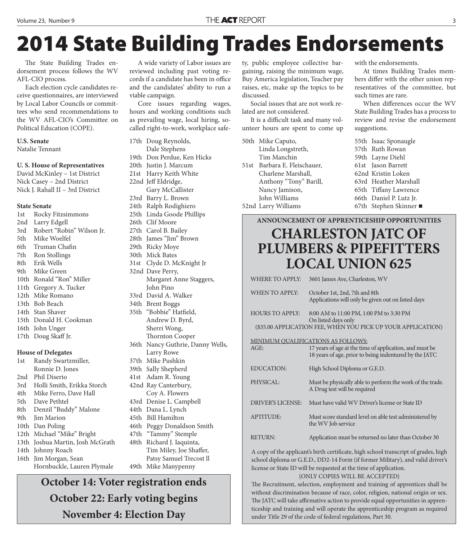# **2014 State Building Trades Endorsements**

The State Building Trades endorsement process follows the WV AFL-CIO process.

Each election cycle candidates receive questionnaires, are interviewed by Local Labor Councils or committees who send recommendations to the WV AFL-CIO's Committee on Political Education (COPE).

#### **U.S. Senate**

Natalie Tennant

#### **U. S. House of Representatives**

David McKinley – 1st District Nick Casey – 2nd District Nick J. Rahall II – 3rd District

#### **State Senate**

1st Rocky Fitzsimmons 2nd Larry Edgell 3rd Robert "Robin" Wilson Jr. 5th Mike Woelfel 6th Truman Chafin 7th Ron Stollings 8th Erik Wells 9th Mike Green 10th Ronald "Ron" Miller 11th Gregory A. Tucker 12th Mike Romano 13th Bob Beach 14th Stan Shaver 15th Donald H. Cookman 16th John Unger 17th Doug Skaff Jr. **House of Delegates** 1st Randy Swartzmiller,

| 1st   | Randy Swartzmiller,              |
|-------|----------------------------------|
|       | Ronnie D. Jones                  |
| 2nd   | Phil Diserio                     |
| 3rd - | Holli Smith, Erikka Storch       |
| 4th – | Mike Ferro, Dave Hall            |
|       | 5th Dave Pethtel                 |
|       | 8th Denzil "Buddy" Malone        |
|       | 9th Jim Marion                   |
|       | 10th Dan Poling                  |
|       | 12th Michael "Mike" Bright       |
|       | 13th Joshua Martin, Josh McGrath |
|       | 14th Johnny Roach                |
|       | 16th Jim Morgan, Sean            |
|       | Hornbuckle, Lauren Plymale       |

A wide variety of Labor issues are reviewed including past voting records if a candidate has been in office and the candidates' ability to run a viable campaign.

Core issues regarding wages, hours and working conditions such as prevailing wage, local hiring, socalled right-to-work, workplace safe-

17th Doug Reynolds, Dale Stephens 19th Don Perdue, Ken Hicks 20th Justin J. Marcum 21st Harry Keith White 22nd Jeff Eldridge, Gary McCallister 23rd Barry L. Brown 24th Ralph Rodighiero 25th Linda Goode Phillips 26th Clif Moore 27th Carol B. Bailey 28th James "Jim" Brown 29th Ricky Moye 30th Mick Bates 31st Clyde D. McKnight Jr 32nd Dave Perry, Margaret Anne Staggers, John Pino 33rd David A. Walker 34th Brent Boggs 35th "Bobbie" Hatfield, Andrew D. Byrd, Sherri Wong, Thornton Cooper 36th Nancy Guthrie, Danny Wells, Larry Rowe 37th Mike Pushkin 39th Sally Shepherd 41st Adam R. Young 42nd Ray Canterbury, Coy A. Flowers 43rd Denise L. Campbell 44th Dana L. Lynch 45th Bill Hamilton 46th Peggy Donaldson Smith 47th "Tammy" Stemple 48th Richard J. Iaquinta, Tim Miley, Joe Shaffer, Patsy Samuel Trecost ll 49th Mike Manypenny

**October 14: Voter registration ends October 22: Early voting begins November 4: Election Day**

ty, public employee collective bargaining, raising the minimum wage, Buy America legislation, Teacher pay raises, etc, make up the topics to be discussed.

Social issues that are not work related are not considered.

It is a difficult task and many volunteer hours are spent to come up

|      | 50th Mike Caputo,       |
|------|-------------------------|
|      | Linda Longstreth,       |
|      | Tim Manchin             |
| 51st | Barbara E. Fleischauer, |
|      | Charlene Marshall,      |
|      | Anthony "Tony" Barill,  |
|      | Nancy Jamison,          |
|      | John Williams           |
|      | 52nd Larry Williams     |
|      |                         |

with the endorsements.

At times Building Trades members differ with the other union representatives of the committee, but such times are rare.

When differences occur the WV State Building Trades has a process to review and revise the endorsement suggestions.

|  | 55th Isaac Sponaugle    |
|--|-------------------------|
|  | 57th Ruth Rowan         |
|  | 59th Layne Diehl        |
|  | 61st Jason Barrett      |
|  | 62nd Kristin Loken      |
|  | 63rd Heather Marshall   |
|  | 65th Tiffany Lawrence   |
|  | 66th Daniel P. Lutz Jr. |
|  | 67th Stephen Skinner    |
|  |                         |

#### **ANNOUNCEMENT OF APPRENTICESHIP OPPORTUNITIES**

### **CHARLESTON JATC OF PLUMBERS & PIPEFITTERS LOCAL UNION 625**

| <b>WHERE TO APPLY:</b>                                                            | 3601 James Ave, Charleston, WV                                                                                                 |  |  |  |
|-----------------------------------------------------------------------------------|--------------------------------------------------------------------------------------------------------------------------------|--|--|--|
| WHEN TO APPLY:                                                                    | October 1st, 2nd, 7th and 8th<br>Applications will only be given out on listed days                                            |  |  |  |
| <b>HOURS TO APPLY:</b>                                                            | 8:00 AM to 11:00 PM, 1:00 PM to 3:30 PM<br>On listed days only<br>(\$35.00 APPLICATION FEE, WHEN YOU PICK UP YOUR APPLICATION) |  |  |  |
| MINIMUM QUALIFICATIONS AS FOLLOWS:                                                |                                                                                                                                |  |  |  |
| AGE:                                                                              | 17 years of age at the time of application, and must be<br>18 years of age, prior to being indentured by the JATC              |  |  |  |
| <b>EDUCATION:</b>                                                                 | High School Diploma or G.E.D.                                                                                                  |  |  |  |
| PHYSICAL:                                                                         | Must be physically able to perform the work of the trade.<br>A Drug test will be required                                      |  |  |  |
| <b>DRIVER'S LICENSE:</b>                                                          | Must have valid WV Driver's license or State ID                                                                                |  |  |  |
| <b>APTITUDE:</b>                                                                  | Must score standard level on able test administered by<br>the WV Job service                                                   |  |  |  |
| <b>RETURN:</b>                                                                    | Application must be returned no later than October 30                                                                          |  |  |  |
| A copy of the applicant's birth certificate high school transcript of grades high |                                                                                                                                |  |  |  |

A copy of the applicant's birth certificate, high school transcript of grades, high school diploma or G.E.D., DD2-14 Form (if former Military), and valid driver's license or State ID will be requested at the time of application.

{ONLY COPIES WILL BE ACCEPTED}

The Recruitment, selection, employment and training of apprentices shall be without discrimination because of race, color, religion, national origin or sex. The JATC will take affirmative action to provide equal opportunities in apprenticeship and training and will operate the apprenticeship program as required under Title 29 of the code of federal regulations, Part 30.